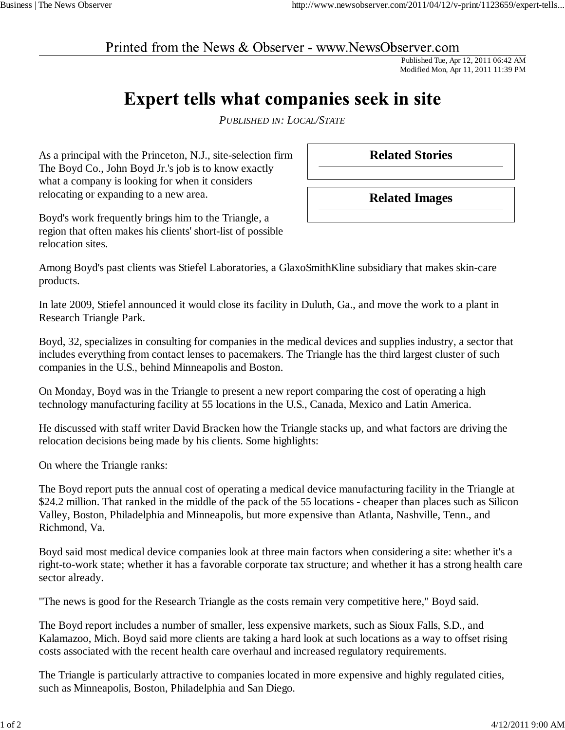## Printed from the News & Observer - www.NewsObserver.com

Published Tue, Apr 12, 2011 06:42 AM Modified Mon, Apr 11, 2011 11:39 PM

## Expert tells what companies seek in site

*PUBLISHED IN: LOCAL/STATE*

As a principal with the Princeton, N.J., site-selection firm The Boyd Co., John Boyd Jr.'s job is to know exactly what a company is looking for when it considers relocating or expanding to a new area.

**Related Stories**

**Related Images**

Boyd's work frequently brings him to the Triangle, a region that often makes his clients' short-list of possible relocation sites.

Among Boyd's past clients was Stiefel Laboratories, a GlaxoSmithKline subsidiary that makes skin-care products.

In late 2009, Stiefel announced it would close its facility in Duluth, Ga., and move the work to a plant in Research Triangle Park.

Boyd, 32, specializes in consulting for companies in the medical devices and supplies industry, a sector that includes everything from contact lenses to pacemakers. The Triangle has the third largest cluster of such companies in the U.S., behind Minneapolis and Boston.

On Monday, Boyd was in the Triangle to present a new report comparing the cost of operating a high technology manufacturing facility at 55 locations in the U.S., Canada, Mexico and Latin America.

He discussed with staff writer David Bracken how the Triangle stacks up, and what factors are driving the relocation decisions being made by his clients. Some highlights:

On where the Triangle ranks:

The Boyd report puts the annual cost of operating a medical device manufacturing facility in the Triangle at \$24.2 million. That ranked in the middle of the pack of the 55 locations - cheaper than places such as Silicon Valley, Boston, Philadelphia and Minneapolis, but more expensive than Atlanta, Nashville, Tenn., and Richmond, Va.

Boyd said most medical device companies look at three main factors when considering a site: whether it's a right-to-work state; whether it has a favorable corporate tax structure; and whether it has a strong health care sector already.

"The news is good for the Research Triangle as the costs remain very competitive here," Boyd said.

The Boyd report includes a number of smaller, less expensive markets, such as Sioux Falls, S.D., and Kalamazoo, Mich. Boyd said more clients are taking a hard look at such locations as a way to offset rising costs associated with the recent health care overhaul and increased regulatory requirements.

The Triangle is particularly attractive to companies located in more expensive and highly regulated cities, such as Minneapolis, Boston, Philadelphia and San Diego.